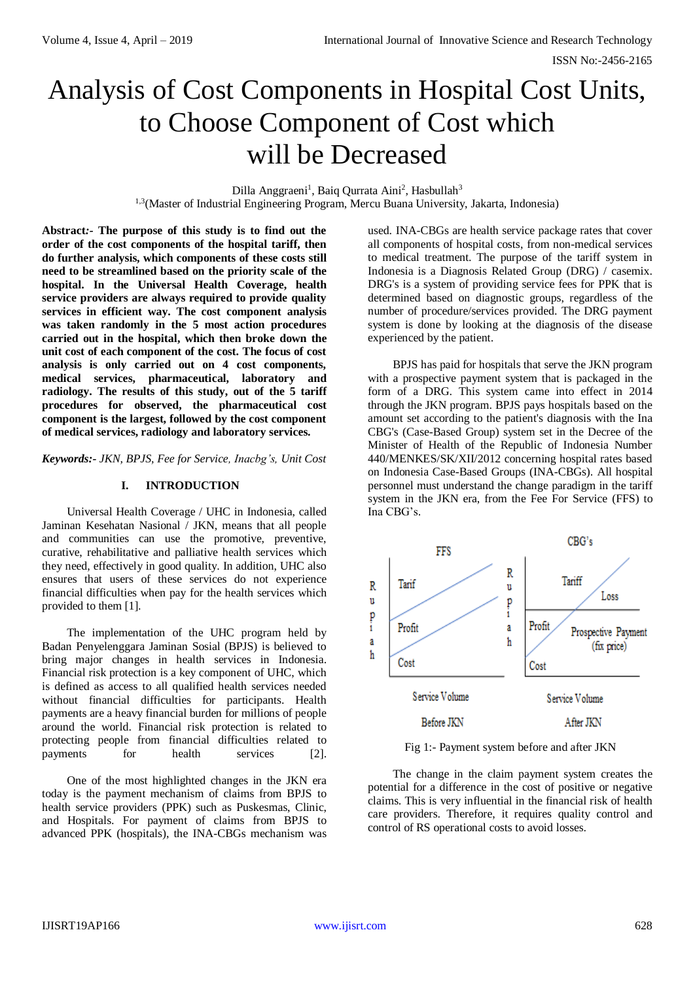# Analysis of Cost Components in Hospital Cost Units, to Choose Component of Cost which will be Decreased

Dilla Anggraeni<sup>1</sup>, Baiq Qurrata Aini<sup>2</sup>, Hasbullah<sup>3</sup> 1,3(Master of Industrial Engineering Program, Mercu Buana University, Jakarta, Indonesia)

**Abstract***:-* **The purpose of this study is to find out the order of the cost components of the hospital tariff, then do further analysis, which components of these costs still need to be streamlined based on the priority scale of the hospital. In the Universal Health Coverage, health service providers are always required to provide quality services in efficient way. The cost component analysis was taken randomly in the 5 most action procedures carried out in the hospital, which then broke down the unit cost of each component of the cost. The focus of cost analysis is only carried out on 4 cost components, medical services, pharmaceutical, laboratory and radiology. The results of this study, out of the 5 tariff procedures for observed, the pharmaceutical cost component is the largest, followed by the cost component of medical services, radiology and laboratory services.**

*Keywords:- JKN, BPJS, Fee for Service, Inacbg's, Unit Cost*

### **I. INTRODUCTION**

Universal Health Coverage / UHC in Indonesia, called Jaminan Kesehatan Nasional / JKN, means that all people and communities can use the promotive, preventive, curative, rehabilitative and palliative health services which they need, effectively in good quality. In addition, UHC also ensures that users of these services do not experience financial difficulties when pay for the health services which provided to them [1].

The implementation of the UHC program held by Badan Penyelenggara Jaminan Sosial (BPJS) is believed to bring major changes in health services in Indonesia. Financial risk protection is a key component of UHC, which is defined as access to all qualified health services needed without financial difficulties for participants. Health payments are a heavy financial burden for millions of people around the world. Financial risk protection is related to protecting people from financial difficulties related to payments for health services [2].

One of the most highlighted changes in the JKN era today is the payment mechanism of claims from BPJS to health service providers (PPK) such as Puskesmas, Clinic, and Hospitals. For payment of claims from BPJS to advanced PPK (hospitals), the INA-CBGs mechanism was used. INA-CBGs are health service package rates that cover all components of hospital costs, from non-medical services to medical treatment. The purpose of the tariff system in Indonesia is a Diagnosis Related Group (DRG) / casemix. DRG's is a system of providing service fees for PPK that is determined based on diagnostic groups, regardless of the number of procedure/services provided. The DRG payment system is done by looking at the diagnosis of the disease experienced by the patient.

BPJS has paid for hospitals that serve the JKN program with a prospective payment system that is packaged in the form of a DRG. This system came into effect in 2014 through the JKN program. BPJS pays hospitals based on the amount set according to the patient's diagnosis with the Ina CBG's (Case-Based Group) system set in the Decree of the Minister of Health of the Republic of Indonesia Number 440/MENKES/SK/XII/2012 concerning hospital rates based on Indonesia Case-Based Groups (INA-CBGs). All hospital personnel must understand the change paradigm in the tariff system in the JKN era, from the Fee For Service (FFS) to Ina CBG's.



Fig 1:- Payment system before and after JKN

The change in the claim payment system creates the potential for a difference in the cost of positive or negative claims. This is very influential in the financial risk of health care providers. Therefore, it requires quality control and control of RS operational costs to avoid losses.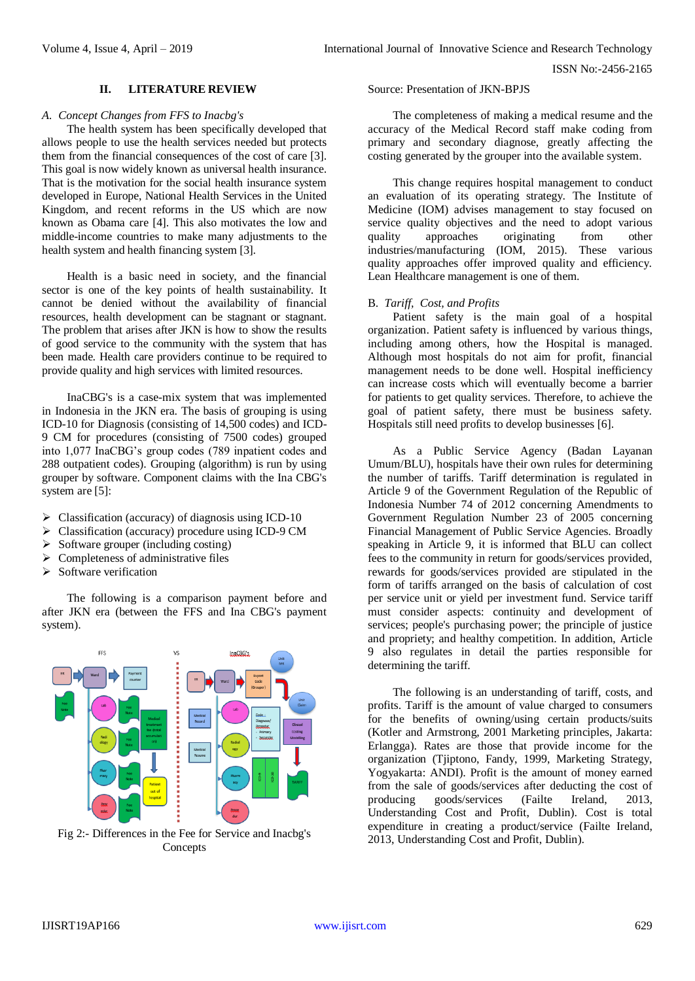#### **II. LITERATURE REVIEW**

# *A. Concept Changes from FFS to Inacbg's*

The health system has been specifically developed that allows people to use the health services needed but protects them from the financial consequences of the cost of care [3]. This goal is now widely known as universal health insurance. That is the motivation for the social health insurance system developed in Europe, National Health Services in the United Kingdom, and recent reforms in the US which are now known as Obama care [4]. This also motivates the low and middle-income countries to make many adjustments to the health system and health financing system [3].

Health is a basic need in society, and the financial sector is one of the key points of health sustainability. It cannot be denied without the availability of financial resources, health development can be stagnant or stagnant. The problem that arises after JKN is how to show the results of good service to the community with the system that has been made. Health care providers continue to be required to provide quality and high services with limited resources.

InaCBG's is a case-mix system that was implemented in Indonesia in the JKN era. The basis of grouping is using ICD-10 for Diagnosis (consisting of 14,500 codes) and ICD-9 CM for procedures (consisting of 7500 codes) grouped into 1,077 InaCBG's group codes (789 inpatient codes and 288 outpatient codes). Grouping (algorithm) is run by using grouper by software. Component claims with the Ina CBG's system are [5]:

- $\triangleright$  Classification (accuracy) of diagnosis using ICD-10
- Classification (accuracy) procedure using ICD-9 CM
- $\triangleright$  Software grouper (including costing)
- $\triangleright$  Completeness of administrative files
- $\triangleright$  Software verification

The following is a comparison payment before and after JKN era (between the FFS and Ina CBG's payment system).



Fig 2:- Differences in the Fee for Service and Inacbg's Concepts

Source: Presentation of JKN-BPJS

The completeness of making a medical resume and the accuracy of the Medical Record staff make coding from primary and secondary diagnose, greatly affecting the costing generated by the grouper into the available system.

This change requires hospital management to conduct an evaluation of its operating strategy. The Institute of Medicine (IOM) advises management to stay focused on service quality objectives and the need to adopt various quality approaches originating from other industries/manufacturing (IOM, 2015). These various quality approaches offer improved quality and efficiency. Lean Healthcare management is one of them.

### B. *Tariff, Cost, and Profits*

Patient safety is the main goal of a hospital organization. Patient safety is influenced by various things, including among others, how the Hospital is managed. Although most hospitals do not aim for profit, financial management needs to be done well. Hospital inefficiency can increase costs which will eventually become a barrier for patients to get quality services. Therefore, to achieve the goal of patient safety, there must be business safety. Hospitals still need profits to develop businesses [6].

As a Public Service Agency (Badan Layanan Umum/BLU), hospitals have their own rules for determining the number of tariffs. Tariff determination is regulated in Article 9 of the Government Regulation of the Republic of Indonesia Number 74 of 2012 concerning Amendments to Government Regulation Number 23 of 2005 concerning Financial Management of Public Service Agencies. Broadly speaking in Article 9, it is informed that BLU can collect fees to the community in return for goods/services provided, rewards for goods/services provided are stipulated in the form of tariffs arranged on the basis of calculation of cost per service unit or yield per investment fund. Service tariff must consider aspects: continuity and development of services; people's purchasing power; the principle of justice and propriety; and healthy competition. In addition, Article 9 also regulates in detail the parties responsible for determining the tariff.

The following is an understanding of tariff, costs, and profits. Tariff is the amount of value charged to consumers for the benefits of owning/using certain products/suits (Kotler and Armstrong, 2001 Marketing principles, Jakarta: Erlangga). Rates are those that provide income for the organization (Tjiptono, Fandy, 1999, Marketing Strategy, Yogyakarta: ANDI). Profit is the amount of money earned from the sale of goods/services after deducting the cost of producing goods/services (Failte Ireland, 2013, Understanding Cost and Profit, Dublin). Cost is total expenditure in creating a product/service (Failte Ireland, 2013, Understanding Cost and Profit, Dublin).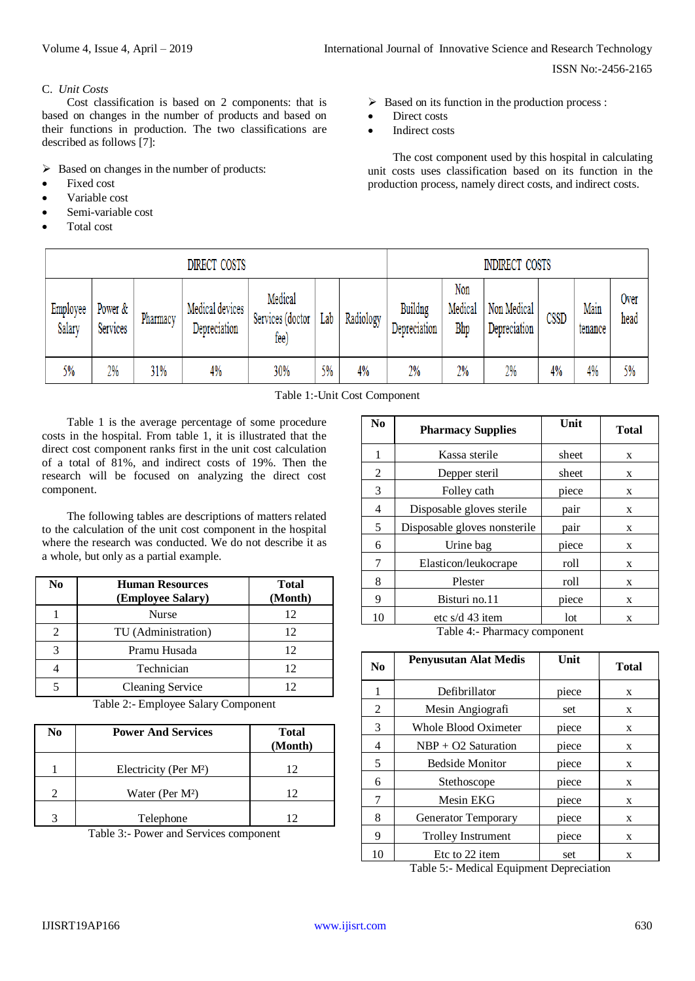# C. *Unit Costs*

Cost classification is based on 2 components: that is based on changes in the number of products and based on their functions in production. The two classifications are described as follows [7]:

 $\triangleright$  Based on changes in the number of products:

- Fixed cost
- Variable cost
- Semi-variable cost
- Total cost

 $\triangleright$  Based on its function in the production process :

- Direct costs
- Indirect costs

The cost component used by this hospital in calculating unit costs uses classification based on its function in the production process, namely direct costs, and indirect costs.

| DIRECT COSTS       |                     |          |                                 | <b>INDIRECT COSTS</b>               |     |           |                         |                       |                             |      |                 |              |
|--------------------|---------------------|----------|---------------------------------|-------------------------------------|-----|-----------|-------------------------|-----------------------|-----------------------------|------|-----------------|--------------|
| Employee<br>Salary | Power &<br>Services | Pharmacy | Medical devices<br>Depreciation | Medical<br>Services (doctor<br>fee) | Lab | Radiology | Buildng<br>Depreciation | Non<br>Medical<br>Bhp | Non Medical<br>Depreciation | CSSD | Main<br>tenance | Over<br>head |
| 5%                 | 2%                  | 31%      | 4%                              | 30%                                 | 5%  | 4%        | 2%                      | 2%                    | 2%                          | 4%   | 4%              | 5%           |

Table 1:-Unit Cost Component

Table 1 is the average percentage of some procedure costs in the hospital. From table 1, it is illustrated that the direct cost component ranks first in the unit cost calculation of a total of 81%, and indirect costs of 19%. Then the research will be focused on analyzing the direct cost component.

The following tables are descriptions of matters related to the calculation of the unit cost component in the hospital where the research was conducted. We do not describe it as a whole, but only as a partial example.

| No | <b>Human Resources</b><br>(Employee Salary) | <b>Total</b><br>(Month) |
|----|---------------------------------------------|-------------------------|
|    | Nurse                                       | 12                      |
|    | TU (Administration)                         | 12                      |
| 3  | Pramu Husada                                | 12                      |
|    | Technician                                  | 12                      |
|    | <b>Cleaning Service</b>                     | 12                      |

Table 2:- Employee Salary Component

| N <sub>0</sub> | <b>Power And Services</b>   | <b>Total</b><br>(Month) |
|----------------|-----------------------------|-------------------------|
|                | Electricity (Per $M^2$ )    | 12                      |
|                | Water (Per M <sup>2</sup> ) | 12                      |
|                | Telephone                   | 12                      |

Table 3:- Power and Services component

| N <sub>0</sub> | <b>Pharmacy Supplies</b>     | Unit  | <b>Total</b> |
|----------------|------------------------------|-------|--------------|
| 1              | Kassa sterile                | sheet | X            |
| 2              | Depper steril                | sheet | X            |
| 3              | Folley cath                  | piece | X            |
| 4              | Disposable gloves sterile    | pair  | X            |
| 5              | Disposable gloves nonsterile | pair  | X            |
| 6              | Urine bag                    | piece | X            |
| 7              | Elasticon/leukocrape         | roll  | X            |
| 8              | Plester                      | roll  | X            |
| 9              | Bisturi no.11                | piece | X            |
| 10             | etc $s/d$ 43 item            | lot   | X            |

Table 4:- Pharmacy component

| N <sub>0</sub> | <b>Penyusutan Alat Medis</b> | Unit  | <b>Total</b> |
|----------------|------------------------------|-------|--------------|
| 1              | Defibrillator                | piece | X            |
| 2              | Mesin Angiografi             | set   | X            |
| 3              | Whole Blood Oximeter         | piece | X            |
| 4              | $NBP + O2$ Saturation        | piece | X            |
| 5              | <b>Bedside Monitor</b>       | piece | X            |
| 6              | Stethoscope                  | piece | X            |
| 7              | Mesin EKG                    | piece | X            |
| 8              | <b>Generator Temporary</b>   | piece | X            |
| 9              | <b>Trolley Instrument</b>    | piece | X            |
| 10             | Etc to 22 item               | set   | X            |

Table 5:- Medical Equipment Depreciation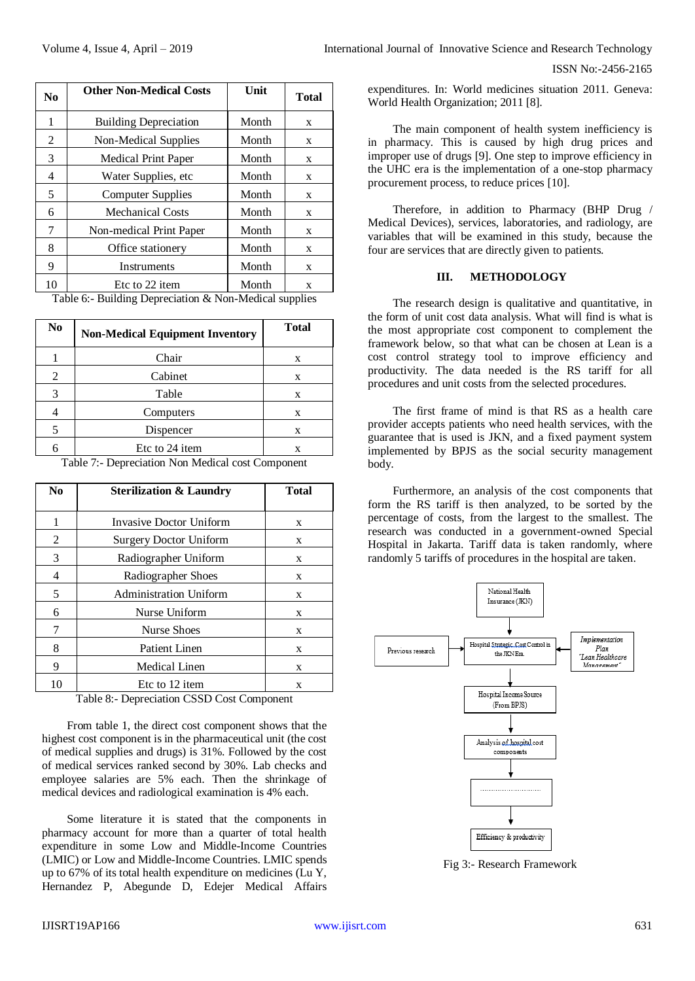| N <sub>0</sub> | <b>Other Non-Medical Costs</b> | Unit  | <b>Total</b> |
|----------------|--------------------------------|-------|--------------|
| 1              | <b>Building Depreciation</b>   | Month | X            |
| 2              | Non-Medical Supplies           | Month | X            |
| 3              | <b>Medical Print Paper</b>     | Month | X            |
| 4              | Water Supplies, etc            | Month | X            |
| 5              | <b>Computer Supplies</b>       | Month | X            |
| 6              | <b>Mechanical Costs</b>        | Month | X            |
| 7              | Non-medical Print Paper        | Month | X            |
| 8              | Office stationery              | Month | X            |
| 9              | Instruments                    | Month | X            |
| 10             | Etc to 22 item                 | Month | X            |

Table 6:- Building Depreciation & Non-Medical supplies

| N <sub>0</sub> | <b>Non-Medical Equipment Inventory</b> | <b>Total</b> |
|----------------|----------------------------------------|--------------|
|                | Chair                                  | X            |
| 2              | Cabinet                                | X            |
| 3              | Table                                  | X            |
|                | Computers                              | X            |
| 5              | Dispencer                              | X            |
|                | Etc to 24 item                         | X            |

Table 7:- Depreciation Non Medical cost Component

| N <sub>0</sub> | <b>Sterilization &amp; Laundry</b> | <b>Total</b> |  |  |
|----------------|------------------------------------|--------------|--|--|
|                | Invasive Doctor Uniform            | X            |  |  |
| 2              | <b>Surgery Doctor Uniform</b>      | X            |  |  |
| 3              | Radiographer Uniform               | X            |  |  |
| 4              | Radiographer Shoes                 | X            |  |  |
| 5              | <b>Administration Uniform</b>      | X            |  |  |
| 6              | Nurse Uniform                      | X            |  |  |
| 7              | Nurse Shoes                        | X            |  |  |
| 8              | <b>Patient Linen</b>               | X            |  |  |
| 9              | Medical Linen                      | X            |  |  |
| 10             | Etc to 12 item<br>X                |              |  |  |

Table 8:- Depreciation CSSD Cost Component

From table 1, the direct cost component shows that the highest cost component is in the pharmaceutical unit (the cost of medical supplies and drugs) is 31%. Followed by the cost of medical services ranked second by 30%. Lab checks and employee salaries are 5% each. Then the shrinkage of medical devices and radiological examination is 4% each.

Some literature it is stated that the components in pharmacy account for more than a quarter of total health expenditure in some Low and Middle-Income Countries (LMIC) or Low and Middle-Income Countries. LMIC spends up to 67% of its total health expenditure on medicines (Lu Y, Hernandez P, Abegunde D, Edejer Medical Affairs

expenditures. In: World medicines situation 2011. Geneva: World Health Organization; 2011 [8].

The main component of health system inefficiency is in pharmacy. This is caused by high drug prices and improper use of drugs [9]. One step to improve efficiency in the UHC era is the implementation of a one-stop pharmacy procurement process, to reduce prices [10].

Therefore, in addition to Pharmacy (BHP Drug / Medical Devices), services, laboratories, and radiology, are variables that will be examined in this study, because the four are services that are directly given to patients.

### **III. METHODOLOGY**

The research design is qualitative and quantitative, in the form of unit cost data analysis. What will find is what is the most appropriate cost component to complement the framework below, so that what can be chosen at Lean is a cost control strategy tool to improve efficiency and productivity. The data needed is the RS tariff for all procedures and unit costs from the selected procedures.

The first frame of mind is that RS as a health care provider accepts patients who need health services, with the guarantee that is used is JKN, and a fixed payment system implemented by BPJS as the social security management body.

Furthermore, an analysis of the cost components that form the RS tariff is then analyzed, to be sorted by the percentage of costs, from the largest to the smallest. The research was conducted in a government-owned Special Hospital in Jakarta. Tariff data is taken randomly, where randomly 5 tariffs of procedures in the hospital are taken.



Fig 3:- Research Framework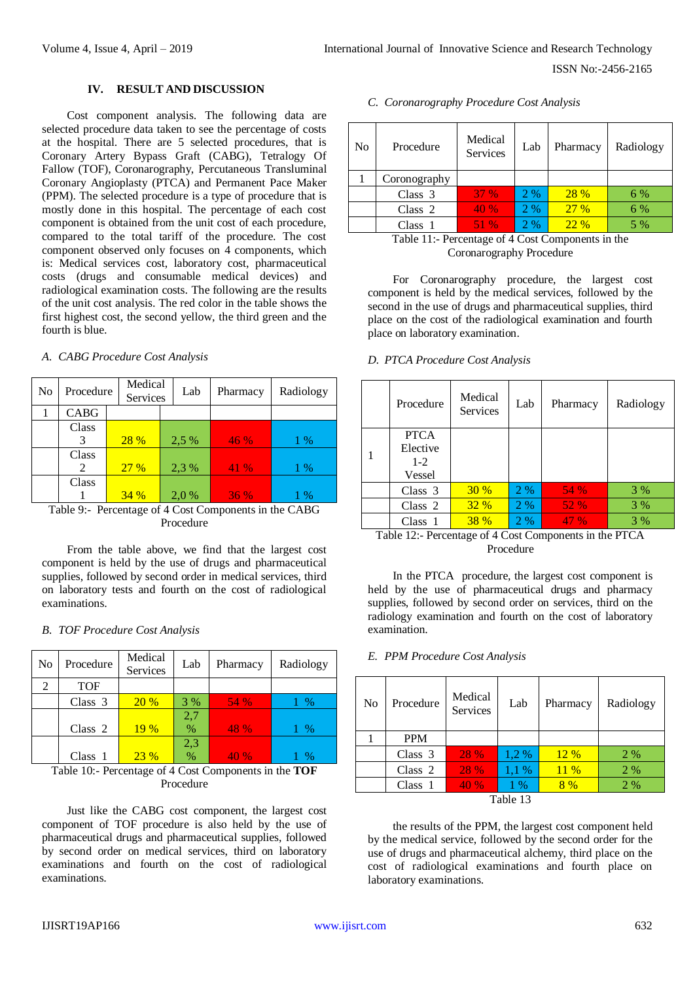# **IV. RESULT AND DISCUSSION**

Cost component analysis. The following data are selected procedure data taken to see the percentage of costs at the hospital. There are 5 selected procedures, that is Coronary Artery Bypass Graft (CABG), Tetralogy Of Fallow (TOF), Coronarography, Percutaneous Transluminal Coronary Angioplasty (PTCA) and Permanent Pace Maker (PPM). The selected procedure is a type of procedure that is mostly done in this hospital. The percentage of each cost component is obtained from the unit cost of each procedure, compared to the total tariff of the procedure. The cost component observed only focuses on 4 components, which is: Medical services cost, laboratory cost, pharmaceutical costs (drugs and consumable medical devices) and radiological examination costs. The following are the results of the unit cost analysis. The red color in the table shows the first highest cost, the second yellow, the third green and the fourth is blue.

# *A. CABG Procedure Cost Analysis*

| N <sub>0</sub> | Procedure   | Medical<br><b>Services</b> | Lab   | Pharmacy | Radiology |
|----------------|-------------|----------------------------|-------|----------|-----------|
|                | <b>CABG</b> |                            |       |          |           |
|                | Class       |                            |       |          |           |
|                |             | 28 %                       | 2,5 % | 46 %     | $1\%$     |
|                | Class       |                            |       |          |           |
|                | 2           | 27%                        | 2,3 % | 41 %     | $1\%$     |
|                | Class       |                            |       |          |           |
|                |             | 34%                        | 2.0 % | 36%      | 1 %       |

Table 9:- Percentage of 4 Cost Components in the CABG Procedure

From the table above, we find that the largest cost component is held by the use of drugs and pharmaceutical supplies, followed by second order in medical services, third on laboratory tests and fourth on the cost of radiological examinations.

#### *B. TOF Procedure Cost Analysis*

| N <sub>0</sub> | Procedure                                             | Medical<br>Services | Lab | Pharmacy | Radiology       |
|----------------|-------------------------------------------------------|---------------------|-----|----------|-----------------|
| 2              | <b>TOF</b>                                            |                     |     |          |                 |
|                | Class $3$                                             | <b>20 %</b>         | 3 % | 54 %     | 1 %             |
|                |                                                       |                     | 2,7 |          |                 |
|                | Class 2                                               | 19%                 | %   | 48 %     | 1 %             |
|                |                                                       |                     | 2,3 |          |                 |
|                | Class 1                                               | 23%                 | %   | 40 %     | $1 \frac{9}{6}$ |
|                | Table $10i$ Decembers of A Cost Components in the TOF |                     |     |          |                 |

Table 10:- Percentage of 4 Cost Components in the **TOF** Procedure

Just like the CABG cost component, the largest cost component of TOF procedure is also held by the use of pharmaceutical drugs and pharmaceutical supplies, followed by second order on medical services, third on laboratory examinations and fourth on the cost of radiological examinations.

|  | C. Coronarography Procedure Cost Analysis |  |  |
|--|-------------------------------------------|--|--|
|--|-------------------------------------------|--|--|

| No | Procedure    | Medical<br>Services | Lab   | Pharmacy    | Radiology |
|----|--------------|---------------------|-------|-------------|-----------|
|    | Coronography |                     |       |             |           |
|    | Class $3$    | <b>37 %</b>         | $2\%$ | <b>28 %</b> | 6 %       |
|    | Class 2      | 40%                 | 2%    | 27%         | 6 %       |
|    | Class 1      | 51 %                | 2%    | 22%         | 5 %       |

Table 11:- Percentage of 4 Cost Components in the Coronarography Procedure

For Coronarography procedure, the largest cost component is held by the medical services, followed by the second in the use of drugs and pharmaceutical supplies, third place on the cost of the radiological examination and fourth place on laboratory examination.

#### *D. PTCA Procedure Cost Analysis*

| Procedure                                    | Medical<br><b>Services</b> | Lab | Pharmacy | Radiology |
|----------------------------------------------|----------------------------|-----|----------|-----------|
| <b>PTCA</b><br>Elective<br>$1 - 2$<br>Vessel |                            |     |          |           |
| Class $3$                                    | 30%                        | 2 % | 54 %     | 3 %       |
| Class $2$                                    | 32%                        | 2%  | 52 %     | 3%        |
| Class 1                                      | <b>38 %</b>                | 2 % | 47%      | 3 %       |

Table 12:- Percentage of 4 Cost Components in the PTCA Procedure

In the PTCA procedure, the largest cost component is held by the use of pharmaceutical drugs and pharmacy supplies, followed by second order on services, third on the radiology examination and fourth on the cost of laboratory examination.

#### *E. PPM Procedure Cost Analysis*

| N <sub>0</sub> | Procedure  | Medical<br>Services | Lab   | Pharmacy | Radiology |
|----------------|------------|---------------------|-------|----------|-----------|
|                | <b>PPM</b> |                     |       |          |           |
|                | Class $3$  | 28 %                | 1,2%  | 12%      | 2 %       |
|                | Class 2    | 28 %                | 1,1 % | $11\%$   | 2%        |
|                | Class 1    | 40 %                | $1\%$ | 8%       | 2 %       |
| Table 13       |            |                     |       |          |           |

the results of the PPM, the largest cost component held by the medical service, followed by the second order for the use of drugs and pharmaceutical alchemy, third place on the cost of radiological examinations and fourth place on laboratory examinations.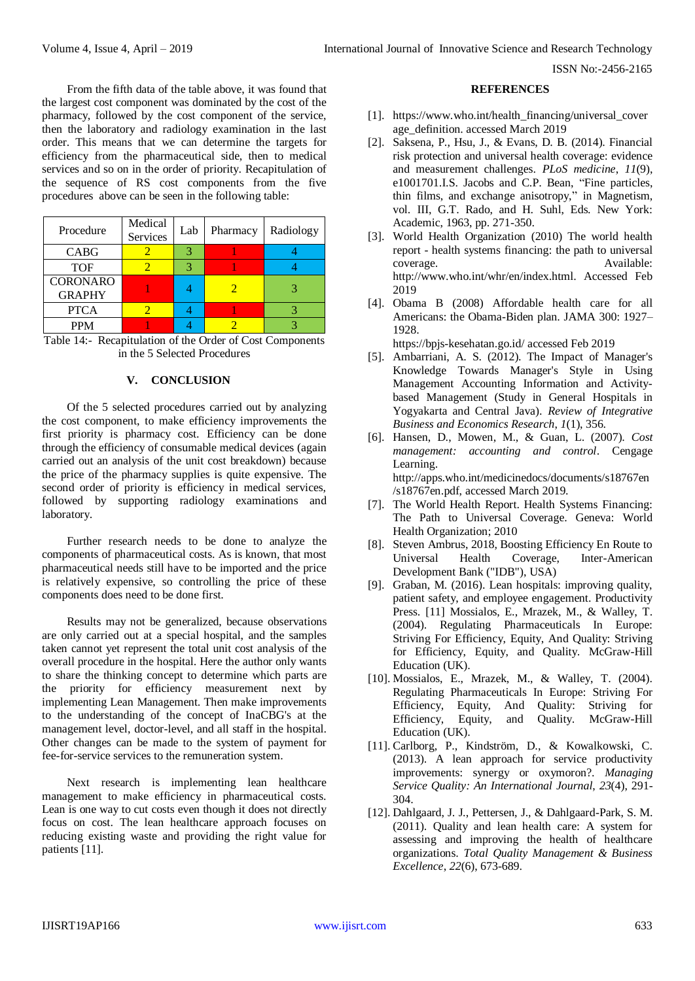From the fifth data of the table above, it was found that the largest cost component was dominated by the cost of the pharmacy, followed by the cost component of the service, then the laboratory and radiology examination in the last order. This means that we can determine the targets for efficiency from the pharmaceutical side, then to medical services and so on in the order of priority. Recapitulation of the sequence of RS cost components from the five procedures above can be seen in the following table:

| Procedure                        | Medical<br>Services | Lab | Pharmacy | Radiology |
|----------------------------------|---------------------|-----|----------|-----------|
| <b>CABG</b>                      |                     |     |          |           |
| <b>TOF</b>                       |                     | 2   |          |           |
| <b>CORONARO</b><br><b>GRAPHY</b> |                     |     |          |           |
| <b>PTCA</b>                      |                     |     |          |           |
| <b>PPM</b>                       |                     |     |          |           |

Table 14:- Recapitulation of the Order of Cost Components in the 5 Selected Procedures

### **V. CONCLUSION**

Of the 5 selected procedures carried out by analyzing the cost component, to make efficiency improvements the first priority is pharmacy cost. Efficiency can be done through the efficiency of consumable medical devices (again carried out an analysis of the unit cost breakdown) because the price of the pharmacy supplies is quite expensive. The second order of priority is efficiency in medical services, followed by supporting radiology examinations and laboratory.

Further research needs to be done to analyze the components of pharmaceutical costs. As is known, that most pharmaceutical needs still have to be imported and the price is relatively expensive, so controlling the price of these components does need to be done first.

Results may not be generalized, because observations are only carried out at a special hospital, and the samples taken cannot yet represent the total unit cost analysis of the overall procedure in the hospital. Here the author only wants to share the thinking concept to determine which parts are the priority for efficiency measurement next by implementing Lean Management. Then make improvements to the understanding of the concept of InaCBG's at the management level, doctor-level, and all staff in the hospital. Other changes can be made to the system of payment for fee-for-service services to the remuneration system.

Next research is implementing lean healthcare management to make efficiency in pharmaceutical costs. Lean is one way to cut costs even though it does not directly focus on cost. The lean healthcare approach focuses on reducing existing waste and providing the right value for patients [11].

#### **REFERENCES**

- [1]. [https://www.who.int/health\\_financing/universal\\_cover](https://www.who.int/health_financing/universal_coverage_definition) [age\\_definition.](https://www.who.int/health_financing/universal_coverage_definition) accessed March 2019
- [2]. Saksena, P., Hsu, J., & Evans, D. B. (2014). Financial risk protection and universal health coverage: evidence and measurement challenges. *PLoS medicine*, *11*(9), e1001701.I.S. Jacobs and C.P. Bean, "Fine particles, thin films, and exchange anisotropy," in Magnetism, vol. III, G.T. Rado, and H. Suhl, Eds. New York: Academic, 1963, pp. 271-350.
- [3]. World Health Organization (2010) The world health report - health systems financing: the path to universal coverage. Available: [http://www.who.int/whr/en/index.html.](http://www.who.int/whr/en/index.html) Accessed Feb 2019
- [4]. Obama B (2008) Affordable health care for all Americans: the Obama-Biden plan. JAMA 300: 1927– 1928.

<https://bpjs-kesehatan.go.id/> accessed Feb 2019

- [5]. Ambarriani, A. S. (2012). The Impact of Manager's Knowledge Towards Manager's Style in Using Management Accounting Information and Activitybased Management (Study in General Hospitals in Yogyakarta and Central Java). *Review of Integrative Business and Economics Research*, *1*(1), 356.
- [6]. Hansen, D., Mowen, M., & Guan, L. (2007). *Cost management: accounting and control*. Cengage Learning. http://apps.who.int/medicinedocs/documents/s18767en /s18767en.pdf, accessed March 2019.
- [7]. The World Health Report. Health Systems Financing: The Path to Universal Coverage. Geneva: World Health Organization; 2010
- [8]. Steven Ambrus, 2018, Boosting Efficiency En Route to Universal Health Coverage, Inter-American Development Bank ("IDB"), USA)
- [9]. Graban, M. (2016). Lean hospitals: improving quality, patient safety, and employee engagement. Productivity Press. [11] Mossialos, E., Mrazek, M., & Walley, T. (2004). Regulating Pharmaceuticals In Europe: Striving For Efficiency, Equity, And Quality: Striving for Efficiency, Equity, and Quality. McGraw-Hill Education (UK).
- [10]. Mossialos, E., Mrazek, M., & Walley, T. (2004). Regulating Pharmaceuticals In Europe: Striving For Efficiency, Equity, And Quality: Striving for Efficiency, Equity, and Quality. McGraw-Hill Education (UK).
- [11]. Carlborg, P., Kindström, D., & Kowalkowski, C. (2013). A lean approach for service productivity improvements: synergy or oxymoron?. *Managing Service Quality: An International Journal*, *23*(4), 291- 304.
- [12]. Dahlgaard, J. J., Pettersen, J., & Dahlgaard-Park, S. M. (2011). Quality and lean health care: A system for assessing and improving the health of healthcare organizations. *Total Quality Management & Business Excellence*, *22*(6), 673-689.